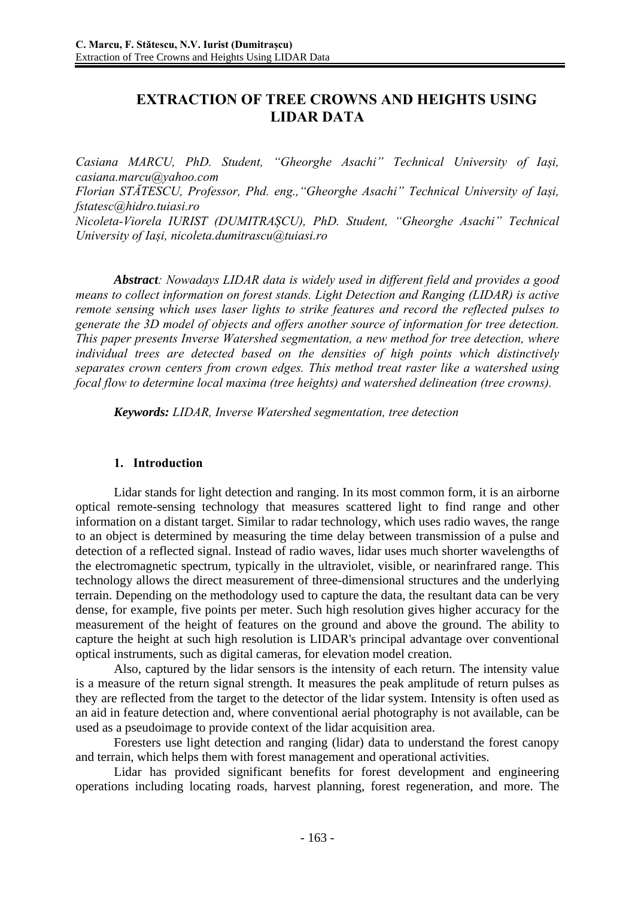# **EXTRACTION OF TREE CROWNS AND HEIGHTS USING LIDAR DATA**

*Casiana MARCU, PhD. Student, "Gheorghe Asachi" Technical University of Iași, casiana.marcu@yahoo.com Florian STĂTESCU, Professor, Phd. eng.,"Gheorghe Asachi" Technical University of Iași, fstatesc@hidro.tuiasi.ro Nicoleta-Viorela IURIST (DUMITRAȘCU), PhD. Student, "Gheorghe Asachi" Technical University of Iași, nicoleta.dumitrascu@tuiasi.ro* 

*Abstract: Nowadays LIDAR data is widely used in different field and provides a good means to collect information on forest stands. Light Detection and Ranging (LIDAR) is active remote sensing which uses laser lights to strike features and record the reflected pulses to generate the 3D model of objects and offers another source of information for tree detection. This paper presents Inverse Watershed segmentation, a new method for tree detection, where individual trees are detected based on the densities of high points which distinctively separates crown centers from crown edges. This method treat raster like a watershed using focal flow to determine local maxima (tree heights) and watershed delineation (tree crowns).*

*Keywords: LIDAR, Inverse Watershed segmentation, tree detection* 

### **1. Introduction**

Lidar stands for light detection and ranging. In its most common form, it is an airborne optical remote-sensing technology that measures scattered light to find range and other information on a distant target. Similar to radar technology, which uses radio waves, the range to an object is determined by measuring the time delay between transmission of a pulse and detection of a reflected signal. Instead of radio waves, lidar uses much shorter wavelengths of the electromagnetic spectrum, typically in the ultraviolet, visible, or nearinfrared range. This technology allows the direct measurement of three-dimensional structures and the underlying terrain. Depending on the methodology used to capture the data, the resultant data can be very dense, for example, five points per meter. Such high resolution gives higher accuracy for the measurement of the height of features on the ground and above the ground. The ability to capture the height at such high resolution is LIDAR's principal advantage over conventional optical instruments, such as digital cameras, for elevation model creation.

Also, captured by the lidar sensors is the intensity of each return. The intensity value is a measure of the return signal strength. It measures the peak amplitude of return pulses as they are reflected from the target to the detector of the lidar system. Intensity is often used as an aid in feature detection and, where conventional aerial photography is not available, can be used as a pseudoimage to provide context of the lidar acquisition area.

Foresters use light detection and ranging (lidar) data to understand the forest canopy and terrain, which helps them with forest management and operational activities.

Lidar has provided significant benefits for forest development and engineering operations including locating roads, harvest planning, forest regeneration, and more. The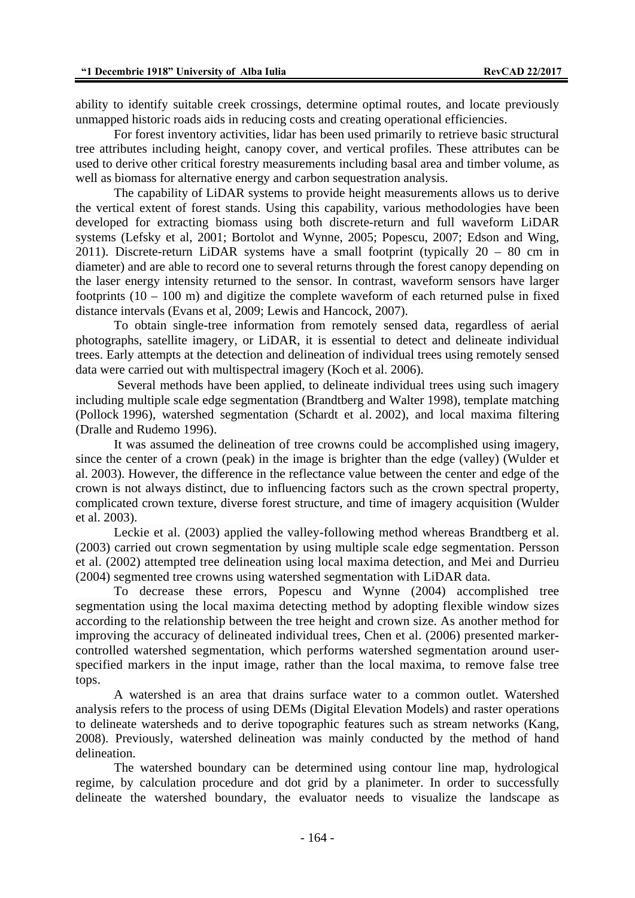ability to identify suitable creek crossings, determine optimal routes, and locate previously unmapped historic roads aids in reducing costs and creating operational efficiencies.

For forest inventory activities, lidar has been used primarily to retrieve basic structural tree attributes including height, canopy cover, and vertical profiles. These attributes can be used to derive other critical forestry measurements including basal area and timber volume, as well as biomass for alternative energy and carbon sequestration analysis.

The capability of LiDAR systems to provide height measurements allows us to derive the vertical extent of forest stands. Using this capability, various methodologies have been developed for extracting biomass using both discrete-return and full waveform LiDAR systems (Lefsky et al, 2001; Bortolot and Wynne, 2005; Popescu, 2007; Edson and Wing, 2011). Discrete-return LiDAR systems have a small footprint (typically  $20 - 80$  cm in diameter) and are able to record one to several returns through the forest canopy depending on the laser energy intensity returned to the sensor. In contrast, waveform sensors have larger footprints  $(10 - 100 \text{ m})$  and digitize the complete waveform of each returned pulse in fixed distance intervals (Evans et al, 2009; Lewis and Hancock, 2007).

To obtain single-tree information from remotely sensed data, regardless of aerial photographs, satellite imagery, or LiDAR, it is essential to detect and delineate individual trees. Early attempts at the detection and delineation of individual trees using remotely sensed data were carried out with multispectral imagery (Koch et al. 2006).

Several methods have been applied, to delineate individual trees using such imagery including multiple scale edge segmentation (Brandtberg and Walter 1998), template matching (Pollock 1996), watershed segmentation (Schardt et al. 2002), and local maxima filtering (Dralle and Rudemo 1996).

It was assumed the delineation of tree crowns could be accomplished using imagery, since the center of a crown (peak) in the image is brighter than the edge (valley) (Wulder et al. 2003). However, the difference in the reflectance value between the center and edge of the crown is not always distinct, due to influencing factors such as the crown spectral property, complicated crown texture, diverse forest structure, and time of imagery acquisition (Wulder et al. 2003).

Leckie et al. (2003) applied the valley-following method whereas Brandtberg et al. (2003) carried out crown segmentation by using multiple scale edge segmentation. Persson et al. (2002) attempted tree delineation using local maxima detection, and Mei and Durrieu (2004) segmented tree crowns using watershed segmentation with LiDAR data.

To decrease these errors, Popescu and Wynne (2004) accomplished tree segmentation using the local maxima detecting method by adopting flexible window sizes according to the relationship between the tree height and crown size. As another method for improving the accuracy of delineated individual trees, Chen et al. (2006) presented markercontrolled watershed segmentation, which performs watershed segmentation around userspecified markers in the input image, rather than the local maxima, to remove false tree tops.

A watershed is an area that drains surface water to a common outlet. Watershed analysis refers to the process of using DEMs (Digital Elevation Models) and raster operations to delineate watersheds and to derive topographic features such as stream networks (Kang, 2008). Previously, watershed delineation was mainly conducted by the method of hand delineation.

The watershed boundary can be determined using contour line map, hydrological regime, by calculation procedure and dot grid by a planimeter. In order to successfully delineate the watershed boundary, the evaluator needs to visualize the landscape as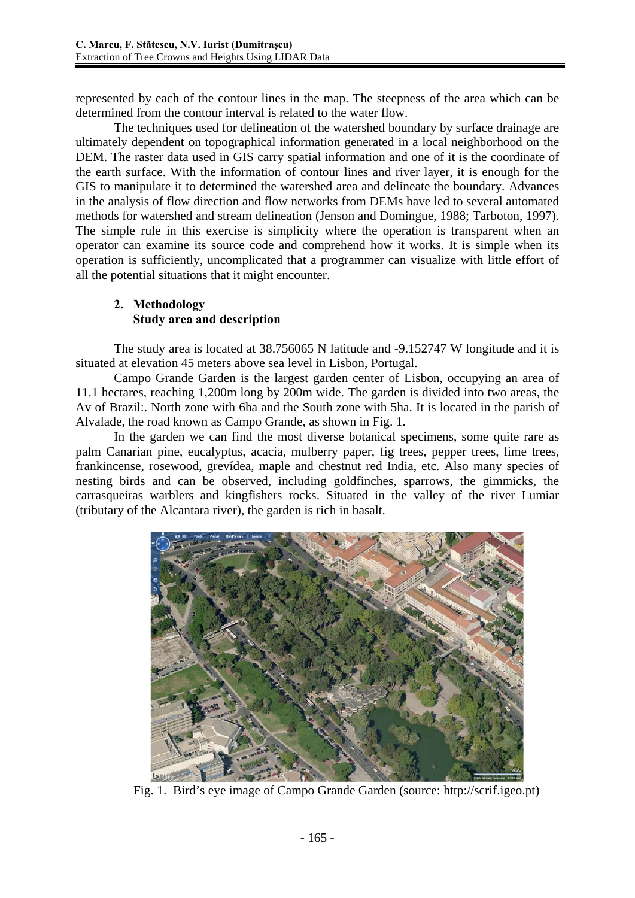represented by each of the contour lines in the map. The steepness of the area which can be determined from the contour interval is related to the water flow.

The techniques used for delineation of the watershed boundary by surface drainage are ultimately dependent on topographical information generated in a local neighborhood on the DEM. The raster data used in GIS carry spatial information and one of it is the coordinate of the earth surface. With the information of contour lines and river layer, it is enough for the GIS to manipulate it to determined the watershed area and delineate the boundary. Advances in the analysis of flow direction and flow networks from DEMs have led to several automated methods for watershed and stream delineation (Jenson and Domingue, 1988; Tarboton, 1997). The simple rule in this exercise is simplicity where the operation is transparent when an operator can examine its source code and comprehend how it works. It is simple when its operation is sufficiently, uncomplicated that a programmer can visualize with little effort of all the potential situations that it might encounter.

## **2. Methodology Study area and description**

The study area is located at 38.756065 N latitude and -9.152747 W longitude and it is situated at elevation 45 meters above sea level in Lisbon, Portugal.

Campo Grande Garden is the largest garden center of Lisbon, occupying an area of 11.1 hectares, reaching 1,200m long by 200m wide. The garden is divided into two areas, the Av of Brazil:. North zone with 6ha and the South zone with 5ha. It is located in the parish of Alvalade, the road known as Campo Grande, as shown in Fig. 1.

In the garden we can find the most diverse botanical specimens, some quite rare as palm Canarian pine, eucalyptus, acacia, mulberry paper, fig trees, pepper trees, lime trees, frankincense, rosewood, grevídea, maple and chestnut red India, etc. Also many species of nesting birds and can be observed, including goldfinches, sparrows, the gimmicks, the carrasqueiras warblers and kingfishers rocks. Situated in the valley of the river Lumiar (tributary of the Alcantara river), the garden is rich in basalt.



Fig. 1. Bird's eye image of Campo Grande Garden (source: http://scrif.igeo.pt)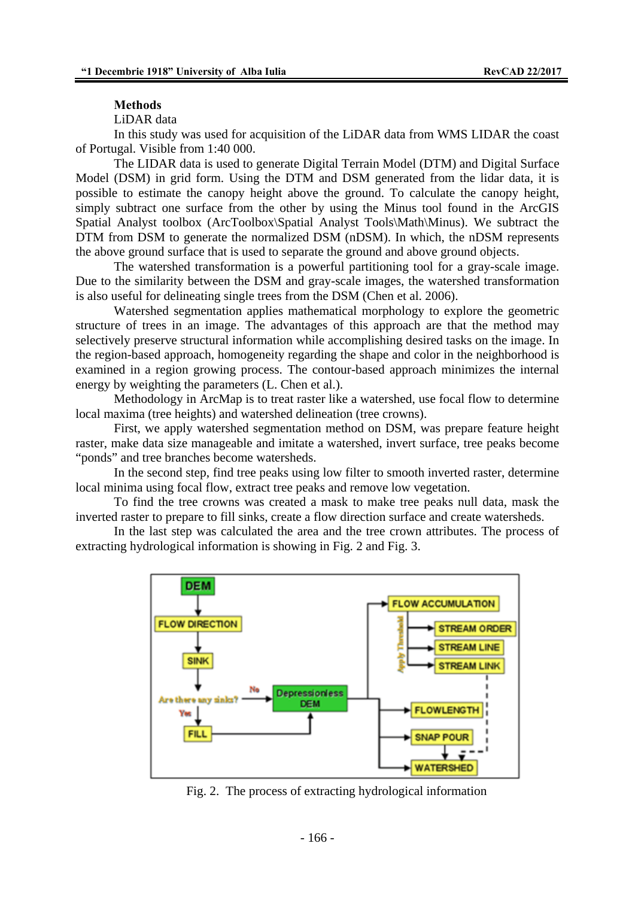#### **Methods**

#### LiDAR data

In this study was used for acquisition of the LiDAR data from WMS LIDAR the coast of Portugal. Visible from 1:40 000.

The LIDAR data is used to generate Digital Terrain Model (DTM) and Digital Surface Model (DSM) in grid form. Using the DTM and DSM generated from the lidar data, it is possible to estimate the canopy height above the ground. To calculate the canopy height, simply subtract one surface from the other by using the Minus tool found in the ArcGIS Spatial Analyst toolbox (ArcToolbox\Spatial Analyst Tools\Math\Minus). We subtract the DTM from DSM to generate the normalized DSM (nDSM). In which, the nDSM represents the above ground surface that is used to separate the ground and above ground objects.

The watershed transformation is a powerful partitioning tool for a gray-scale image. Due to the similarity between the DSM and gray-scale images, the watershed transformation is also useful for delineating single trees from the DSM (Chen et al. 2006).

Watershed segmentation applies mathematical morphology to explore the geometric structure of trees in an image. The advantages of this approach are that the method may selectively preserve structural information while accomplishing desired tasks on the image. In the region-based approach, homogeneity regarding the shape and color in the neighborhood is examined in a region growing process. The contour-based approach minimizes the internal energy by weighting the parameters (L. Chen et al.).

Methodology in ArcMap is to treat raster like a watershed, use focal flow to determine local maxima (tree heights) and watershed delineation (tree crowns).

First, we apply watershed segmentation method on DSM, was prepare feature height raster, make data size manageable and imitate a watershed, invert surface, tree peaks become "ponds" and tree branches become watersheds.

In the second step, find tree peaks using low filter to smooth inverted raster, determine local minima using focal flow, extract tree peaks and remove low vegetation.

To find the tree crowns was created a mask to make tree peaks null data, mask the inverted raster to prepare to fill sinks, create a flow direction surface and create watersheds.

In the last step was calculated the area and the tree crown attributes. The process of extracting hydrological information is showing in Fig. 2 and Fig. 3.



Fig. 2. The process of extracting hydrological information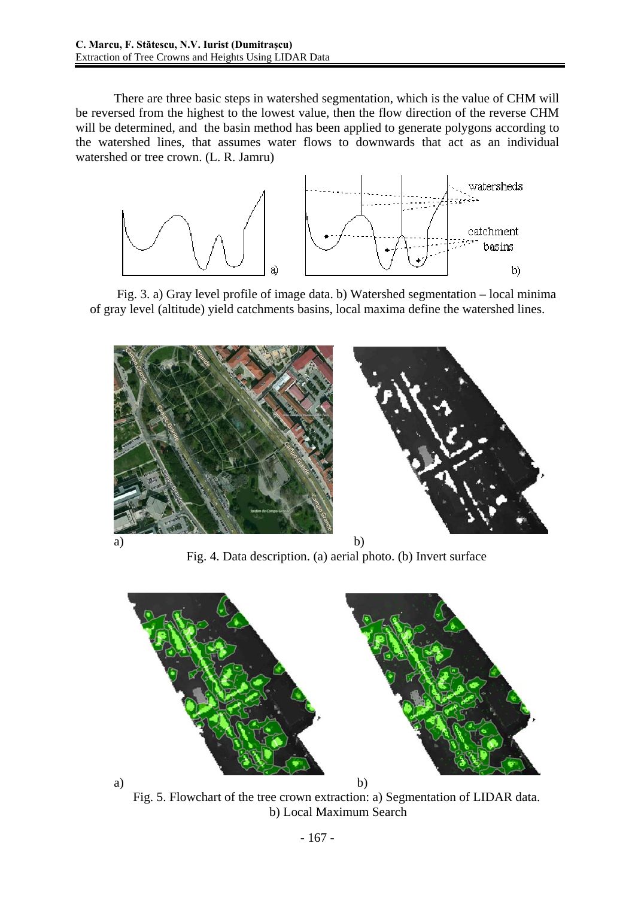There are three basic steps in watershed segmentation, which is the value of CHM will be reversed from the highest to the lowest value, then the flow direction of the reverse CHM will be determined, and the basin method has been applied to generate polygons according to the watershed lines, that assumes water flows to downwards that act as an individual watershed or tree crown. (L. R. Jamru)



Fig. 3. a) Gray level profile of image data. b) Watershed segmentation – local minima of gray level (altitude) yield catchments basins, local maxima define the watershed lines.



Fig. 4. Data description. (a) aerial photo. (b) Invert surface



Fig. 5. Flowchart of the tree crown extraction: a) Segmentation of LIDAR data. b) Local Maximum Search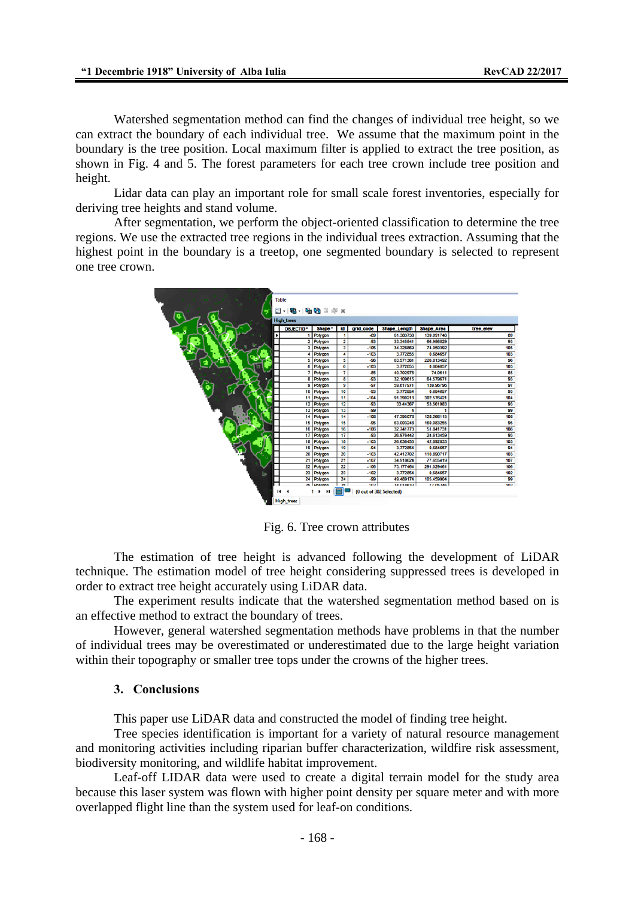Watershed segmentation method can find the changes of individual tree height, so we can extract the boundary of each individual tree. We assume that the maximum point in the boundary is the tree position. Local maximum filter is applied to extract the tree position, as shown in Fig. 4 and 5. The forest parameters for each tree crown include tree position and height.

Lidar data can play an important role for small scale forest inventories, especially for deriving tree heights and stand volume.

After segmentation, we perform the object-oriented classification to determine the tree regions. We use the extracted tree regions in the individual trees extraction. Assuming that the highest point in the boundary is a treetop, one segmented boundary is selected to represent one tree crown.



Fig. 6. Tree crown attributes

The estimation of tree height is advanced following the development of LiDAR technique. The estimation model of tree height considering suppressed trees is developed in order to extract tree height accurately using LiDAR data.

The experiment results indicate that the watershed segmentation method based on is an effective method to extract the boundary of trees.

However, general watershed segmentation methods have problems in that the number of individual trees may be overestimated or underestimated due to the large height variation within their topography or smaller tree tops under the crowns of the higher trees.

#### **3. Conclusions**

This paper use LiDAR data and constructed the model of finding tree height.

Tree species identification is important for a variety of natural resource management and monitoring activities including riparian buffer characterization, wildfire risk assessment, biodiversity monitoring, and wildlife habitat improvement.

Leaf-off LIDAR data were used to create a digital terrain model for the study area because this laser system was flown with higher point density per square meter and with more overlapped flight line than the system used for leaf-on conditions.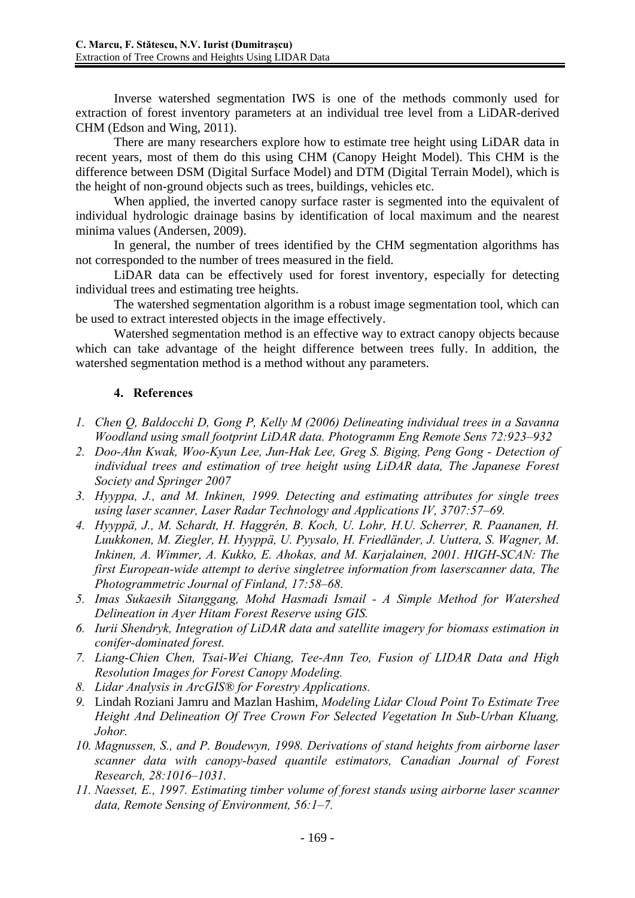Inverse watershed segmentation IWS is one of the methods commonly used for extraction of forest inventory parameters at an individual tree level from a LiDAR-derived CHM (Edson and Wing, 2011).

There are many researchers explore how to estimate tree height using LiDAR data in recent years, most of them do this using CHM (Canopy Height Model). This CHM is the difference between DSM (Digital Surface Model) and DTM (Digital Terrain Model), which is the height of non-ground objects such as trees, buildings, vehicles etc.

When applied, the inverted canopy surface raster is segmented into the equivalent of individual hydrologic drainage basins by identification of local maximum and the nearest minima values (Andersen, 2009).

In general, the number of trees identified by the CHM segmentation algorithms has not corresponded to the number of trees measured in the field.

LiDAR data can be effectively used for forest inventory, especially for detecting individual trees and estimating tree heights.

The watershed segmentation algorithm is a robust image segmentation tool, which can be used to extract interested objects in the image effectively.

Watershed segmentation method is an effective way to extract canopy objects because which can take advantage of the height difference between trees fully. In addition, the watershed segmentation method is a method without any parameters.

## **4. References**

- *1. Chen Q, Baldocchi D, Gong P, Kelly M (2006) Delineating individual trees in a Savanna Woodland using small footprint LiDAR data. Photogramm Eng Remote Sens 72:923–932*
- *2. Doo-Ahn Kwak, Woo-Kyun Lee, Jun-Hak Lee, Greg S. Biging, Peng Gong Detection of individual trees and estimation of tree height using LiDAR data, The Japanese Forest Society and Springer 2007*
- *3. Hyyppa, J., and M. Inkinen, 1999. Detecting and estimating attributes for single trees using laser scanner, Laser Radar Technology and Applications IV, 3707:57–69.*
- *4. Hyyppä, J., M. Schardt, H. Haggrén, B. Koch, U. Lohr, H.U. Scherrer, R. Paananen, H. Luukkonen, M. Ziegler, H. Hyyppä, U. Pyysalo, H. Friedländer, J. Uuttera, S. Wagner, M. Inkinen, A. Wimmer, A. Kukko, E. Ahokas, and M. Karjalainen, 2001. HIGH-SCAN: The first European-wide attempt to derive singletree information from laserscanner data, The Photogrammetric Journal of Finland, 17:58–68.*
- *5. Imas Sukaesih Sitanggang, Mohd Hasmadi Ismail A Simple Method for Watershed Delineation in Ayer Hitam Forest Reserve using GIS.*
- *6. Iurii Shendryk, Integration of LiDAR data and satellite imagery for biomass estimation in conifer-dominated forest.*
- *7. Liang-Chien Chen, Tsai-Wei Chiang, Tee-Ann Teo, Fusion of LIDAR Data and High Resolution Images for Forest Canopy Modeling.*
- *8. Lidar Analysis in ArcGIS® for Forestry Applications.*
- *9.* Lindah Roziani Jamru and Mazlan Hashim, *Modeling Lidar Cloud Point To Estimate Tree Height And Delineation Of Tree Crown For Selected Vegetation In Sub-Urban Kluang, Johor.*
- *10. Magnussen, S., and P. Boudewyn, 1998. Derivations of stand heights from airborne laser scanner data with canopy-based quantile estimators, Canadian Journal of Forest Research, 28:1016–1031.*
- *11. Naesset, E., 1997. Estimating timber volume of forest stands using airborne laser scanner data, Remote Sensing of Environment, 56:1–7.*